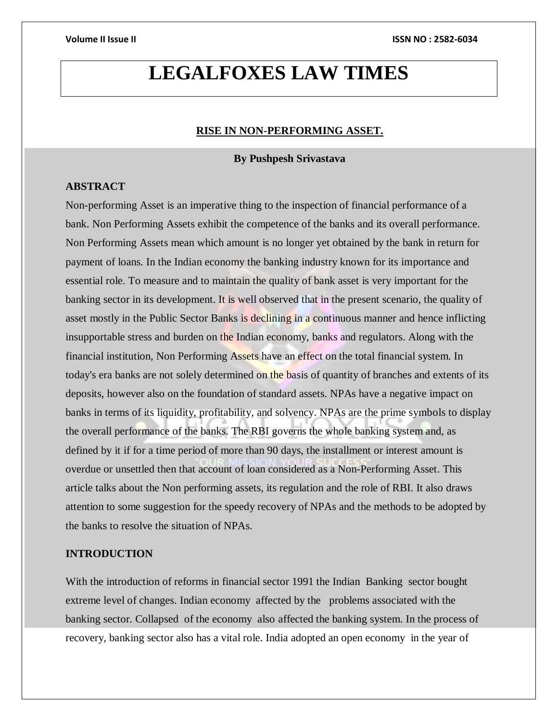# **LEGALFOXES LAW TIMES**

#### **RISE IN NON-PERFORMING ASSET.**

### **By Pushpesh Srivastava**

### **ABSTRACT**

Non-performing Asset is an imperative thing to the inspection of financial performance of a bank. Non Performing Assets exhibit the competence of the banks and its overall performance. Non Performing Assets mean which amount is no longer yet obtained by the bank in return for payment of loans. In the Indian economy the banking industry known for its importance and essential role. To measure and to maintain the quality of bank asset is very important for the banking sector in its development. It is well observed that in the present scenario, the quality of asset mostly in the Public Sector Banks is declining in a continuous manner and hence inflicting insupportable stress and burden on the Indian economy, banks and regulators. Along with the financial institution, Non Performing Assets have an effect on the total financial system. In today's era banks are not solely determined on the basis of quantity of branches and extents of its deposits, however also on the foundation of standard assets. NPAs have a negative impact on banks in terms of its liquidity, profitability, and solvency. NPAs are the prime symbols to display the overall performance of the banks. The RBI governs the whole banking system and, as defined by it if for a time period of more than 90 days, the installment or interest amount is overdue or unsettled then that account of loan considered as a Non-Performing Asset. This article talks about the Non performing assets, its regulation and the role of RBI. It also draws attention to some suggestion for the speedy recovery of NPAs and the methods to be adopted by the banks to resolve the situation of NPAs.

### **INTRODUCTION**

With the introduction of reforms in financial sector 1991 the Indian Banking sector bought extreme level of changes. Indian economy affected by the problems associated with the banking sector. Collapsed of the economy also affected the banking system. In the process of recovery, banking sector also has a vital role. India adopted an open economy in the year of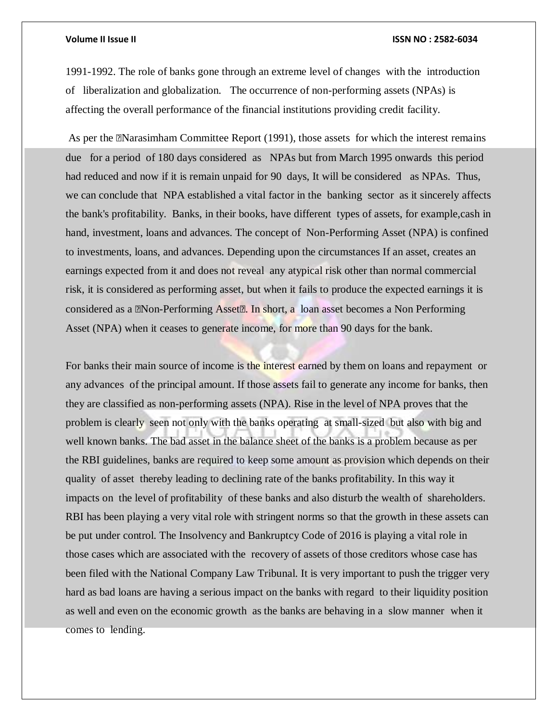1991-1992. The role of banks gone through an extreme level of changes with the introduction of liberalization and globalization. The occurrence of non-performing assets (NPAs) is affecting the overall performance of the financial institutions providing credit facility.

As per the "Narasimham Committee Report (1991), those assets for which the interest remains due for a period of 180 days considered as NPAs but from March 1995 onwards this period had reduced and now if it is remain unpaid for 90 days, It will be considered as NPAs. Thus, we can conclude that NPA established a vital factor in the banking sector as it sincerely affects the bank's profitability. Banks, in their books, have different types of assets, for example,cash in hand, investment, loans and advances. The concept of Non-Performing Asset (NPA) is confined to investments, loans, and advances. Depending upon the circumstances If an asset, creates an earnings expected from it and does not reveal any atypical risk other than normal commercial risk, it is considered as performing asset, but when it fails to produce the expected earnings it is considered as a "Non-Performing Asset". In short, a loan asset becomes a Non Performing Asset (NPA) when it ceases to generate income, for more than 90 days for the bank.

For banks their main source of income is the interest earned by them on loans and repayment or any advances of the principal amount. If those assets fail to generate any income for banks, then they are classified as non-performing assets (NPA). Rise in the level of NPA proves that the problem is clearly seen not only with the banks operating at small-sized but also with big and well known banks. The bad asset in the balance sheet of the banks is a problem because as per the RBI guidelines, banks are required to keep some amount as provision which depends on their quality of asset thereby leading to declining rate of the banks profitability. In this way it impacts on the level of profitability of these banks and also disturb the wealth of shareholders. RBI has been playing a very vital role with stringent norms so that the growth in these assets can be put under control. The Insolvency and Bankruptcy Code of 2016 is playing a vital role in those cases which are associated with the recovery of assets of those creditors whose case has been filed with the National Company Law Tribunal. It is very important to push the trigger very hard as bad loans are having a serious impact on the banks with regard to their liquidity position as well and even on the economic growth as the banks are behaving in a slow manner when it comes to lending.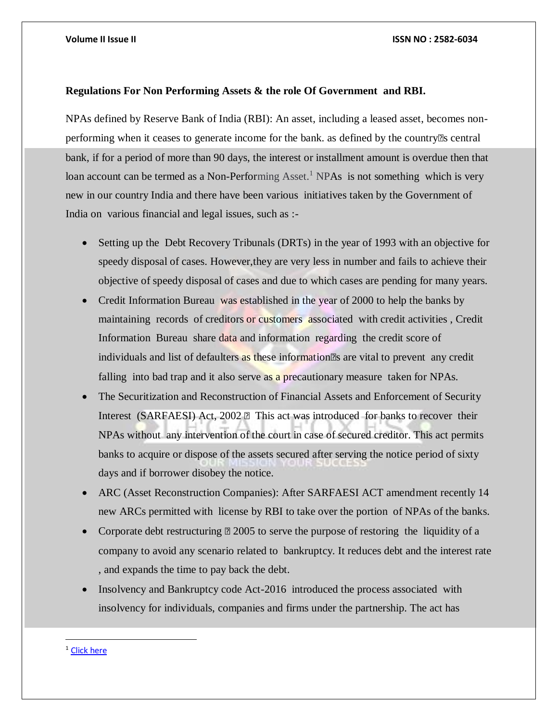### **Regulations For Non Performing Assets & the role Of Government and RBI.**

NPAs defined by Reserve Bank of India (RBI): An asset, including a leased asset, becomes nonperforming when it ceases to generate income for the bank. as defined by the country' s central bank, if for a period of more than 90 days, the interest or installment amount is overdue then that loan account can be termed as a Non-Performing Asset.<sup>1</sup> NPAs is not something which is very new in our country India and there have been various initiatives taken by the Government of India on various financial and legal issues, such as :-

- Setting up the Debt Recovery Tribunals (DRTs) in the year of 1993 with an objective for speedy disposal of cases. However,they are very less in number and fails to achieve their objective of speedy disposal of cases and due to which cases are pending for many years.
- Credit Information Bureau was established in the year of 2000 to help the banks by maintaining records of creditors or customers associated with credit activities , Credit Information Bureau share data and information regarding the credit score of individuals and list of defaulters as these information's are vital to prevent any credit falling into bad trap and it also serve as a precautionary measure taken for NPAs.
- The Securitization and Reconstruction of Financial Assets and Enforcement of Security Interest (SARFAESI) Act, 2002 – This act was introduced for banks to recover their NPAs without any intervention of the court in case of secured creditor. This act permits banks to acquire or dispose of the assets secured after serving the notice period of sixty days and if borrower disobey the notice.
- ARC (Asset Reconstruction Companies): After SARFAESI ACT amendment recently 14 new ARCs permitted with license by RBI to take over the portion of NPAs of the banks.
- Corporate debt restructuring 2005 to serve the purpose of restoring the liquidity of a company to avoid any scenario related to bankruptcy. It reduces debt and the interest rate , and expands the time to pay back the debt.
- Insolvency and Bankruptcy code Act-2016 introduced the process associated with insolvency for individuals, companies and firms under the partnership. The act has

 $\overline{a}$ 

<sup>&</sup>lt;sup>1</sup> Click here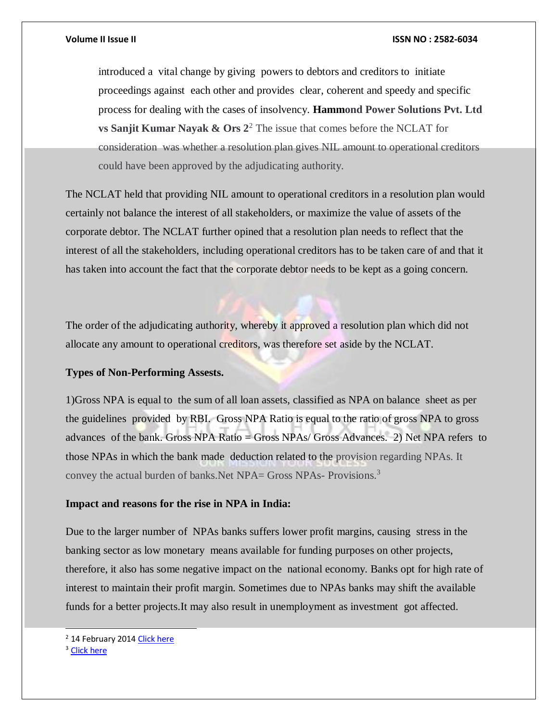introduced a vital change by giving powers to debtors and creditors to initiate proceedings against each other and provides clear, coherent and speedy and specific process for dealing with the cases of insolvency. **Hammond Power Solutions Pvt. Ltd vs Sanjit Kumar Nayak & Ors**  $2^2$  **The issue that comes before the NCLAT for** consideration was whether a resolution plan gives NIL amount to operational creditors could have been approved by the adjudicating authority.

The NCLAT held that providing NIL amount to operational creditors in a resolution plan would certainly not balance the interest of all stakeholders, or maximize the value of assets of the corporate debtor. The NCLAT further opined that a resolution plan needs to reflect that the interest of all the stakeholders, including operational creditors has to be taken care of and that it has taken into account the fact that the corporate debtor needs to be kept as a going concern.

The order of the adjudicating authority, whereby it approved a resolution plan which did not allocate any amount to operational creditors, was therefore set aside by the NCLAT.

### **Types of Non-Performing Assests.**

1)Gross NPA is equal to the sum of all loan assets, classified as NPA on balance sheet as per the guidelines provided by RBI. Gross NPA Ratio is equal to the ratio of gross NPA to gross advances of the bank. Gross NPA Ratio = Gross NPAs/ Gross Advances. 2) Net NPA refers to those NPAs in which the bank made deduction related to the provision regarding NPAs. It convey the actual burden of banks.Net NPA= Gross NPAs- Provisions.<sup>3</sup>

### **Impact and reasons for the rise in NPA in India:**

Due to the larger number of NPAs banks suffers lower profit margins, causing stress in the banking sector as low monetary means available for funding purposes on other projects, therefore, it also has some negative impact on the national economy. Banks opt for high rate of interest to maintain their profit margin. Sometimes due to NPAs banks may shift the available funds for a better projects.It may also result in unemployment as investment got affected.

#### <sup>3</sup> Click here

l

<sup>&</sup>lt;sup>2</sup> 14 February 201[4 Click here](https://indiankanoon.org/doc/91020391/)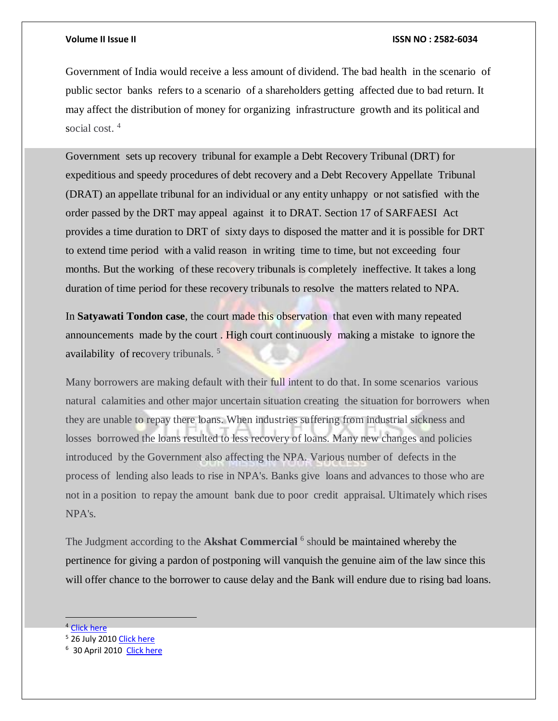Government of India would receive a less amount of dividend. The bad health in the scenario of public sector banks refers to a scenario of a shareholders getting affected due to bad return. It may affect the distribution of money for organizing infrastructure growth and its political and social cost.<sup>4</sup>

Government sets up recovery tribunal for example a Debt Recovery Tribunal (DRT) for expeditious and speedy procedures of debt recovery and a Debt Recovery Appellate Tribunal (DRAT) an appellate tribunal for an individual or any entity unhappy or not satisfied with the order passed by the DRT may appeal against it to DRAT. Section 17 of SARFAESI Act provides a time duration to DRT of sixty days to disposed the matter and it is possible for DRT to extend time period with a valid reason in writing time to time, but not exceeding four months. But the working of these recovery tribunals is completely ineffective. It takes a long duration of time period for these recovery tribunals to resolve the matters related to NPA.

In **Satyawati Tondon case**, the court made this observation that even with many repeated announcements made by the court . High court continuously making a mistake to ignore the availability of recovery tribunals. <sup>5</sup>

Many borrowers are making default with their full intent to do that. In some scenarios various natural calamities and other major uncertain situation creating the situation for borrowers when they are unable to repay there loans. When industries suffering from industrial sickness and losses borrowed the loans resulted to less recovery of loans. Many new changes and policies introduced by the Government also affecting the NPA. Various number of defects in the process of lending also leads to rise in NPA's. Banks give loans and advances to those who are not in a position to repay the amount bank due to poor credit appraisal. Ultimately which rises NPA's.

The Judgment according to the Akshat Commercial <sup>6</sup> should be maintained whereby the pertinence for giving a pardon of postponing will vanquish the genuine aim of the law since this will offer chance to the borrower to cause delay and the Bank will endure due to rising bad loans.

<sup>4</sup> [Click here](https://www.prsindia.org/content/examining-rise-non-performing-assets-india) 

<sup>5</sup> 26 July 201[0 Click here](https://indiankanoon.org/doc/175816/) 

<sup>&</sup>lt;sup>6</sup> 30 April 2010 Click here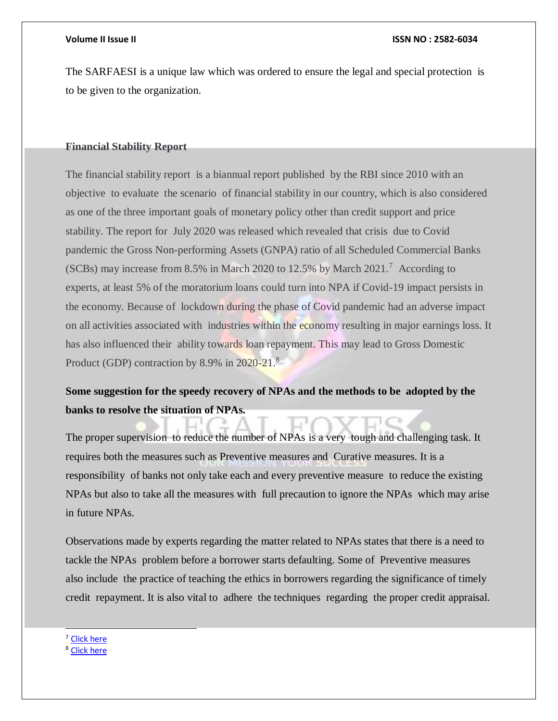The SARFAESI is a unique law which was ordered to ensure the legal and special protection is to be given to the organization.

### **Financial Stability Report**

The financial stability report is a biannual report published by the RBI since 2010 with an objective to evaluate the scenario of financial stability in our country, which is also considered as one of the three important goals of monetary policy other than credit support and price stability. The report for July 2020 was released which revealed that crisis due to Covid pandemic the Gross Non-performing Assets (GNPA) ratio of all Scheduled Commercial Banks (SCBs) may increase from 8.5% in March 2020 to 12.5% by March 2021.<sup>7</sup> According to experts, at least 5% of the moratorium loans could turn into NPA if Covid-19 impact persists in the economy. Because of lockdown during the phase of Covid pandemic had an adverse impact on all activities associated with industries within the economy resulting in major earnings loss. It has also influenced their ability towards loan repayment. This may lead to Gross Domestic Product (GDP) contraction by 8.9% in 2020-21.<sup>8</sup>

## **Some suggestion for the speedy recovery of NPAs and the methods to be adopted by the banks to resolve the situation of NPAs.**

The proper supervision to reduce the number of NPAs is a very tough and challenging task. It requires both the measures such as Preventive measures and Curative measures. It is a responsibility of banks not only take each and every preventive measure to reduce the existing NPAs but also to take all the measures with full precaution to ignore the NPAs which may arise in future NPAs.

Observations made by experts regarding the matter related to NPAs states that there is a need to tackle the NPAs problem before a borrower starts defaulting. Some of Preventive measures also include the practice of teaching the ethics in borrowers regarding the significance of timely credit repayment. It is also vital to adhere the techniques regarding the proper credit appraisal.

<sup>7</sup> Click here

l

<sup>8</sup> [Click here](https://m.rbi.org.in/Scripts/FsReports.aspx)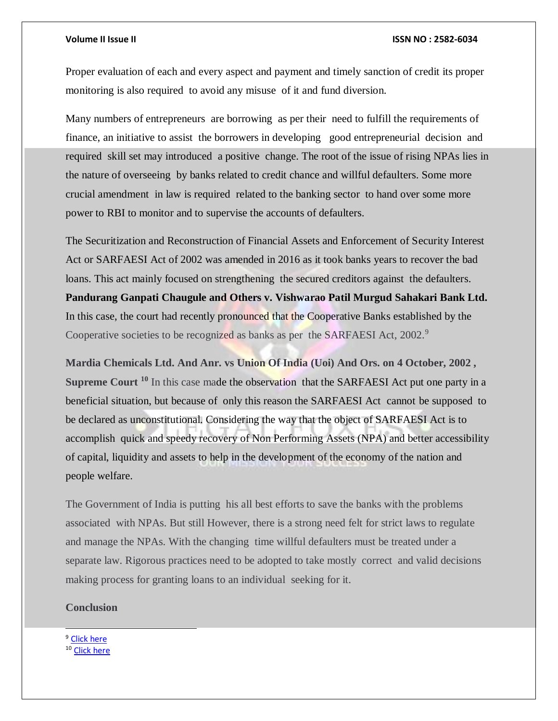Proper evaluation of each and every aspect and payment and timely sanction of credit its proper monitoring is also required to avoid any misuse of it and fund diversion.

Many numbers of entrepreneurs are borrowing as per their need to fulfill the requirements of finance, an initiative to assist the borrowers in developing good entrepreneurial decision and required skill set may introduced a positive change. The root of the issue of rising NPAs lies in the nature of overseeing by banks related to credit chance and willful defaulters. Some more crucial amendment in law is required related to the banking sector to hand over some more power to RBI to monitor and to supervise the accounts of defaulters.

The Securitization and Reconstruction of Financial Assets and Enforcement of Security Interest Act or SARFAESI Act of 2002 was amended in 2016 as it took banks years to recover the bad loans. This act mainly focused on strengthening the secured creditors against the defaulters. **Pandurang Ganpati Chaugule and Others v. Vishwarao Patil Murgud Sahakari Bank Ltd.** In this case, the court had recently pronounced that the Cooperative Banks established by the Cooperative societies to be recognized as banks as per the SARFAESI Act, 2002.<sup>9</sup>

**Mardia Chemicals Ltd. And Anr. vs Union Of India (Uoi) And Ors. on 4 October, 2002 , Supreme Court <sup>10</sup>** In this case made the observation that the SARFAESI Act put one party in a beneficial situation, but because of only this reason the SARFAESI Act cannot be supposed to be declared as unconstitutional. Considering the way that the object of SARFAESI Act is to accomplish quick and speedy recovery of Non Performing Assets (NPA) and better accessibility of capital, liquidity and assets to help in the development of the economy of the nation and people welfare.

The Government of India is putting his all best efforts to save the banks with the problems associated with NPAs. But still However, there is a strong need felt for strict laws to regulate and manage the NPAs. With the changing time willful defaulters must be treated under a separate law. Rigorous practices need to be adopted to take mostly correct and valid decisions making process for granting loans to an individual seeking for it.

### **Conclusion**

<sup>9</sup> Click here <sup>10</sup> [Click here](https://indiankanoon.org/doc/1059476/)

l